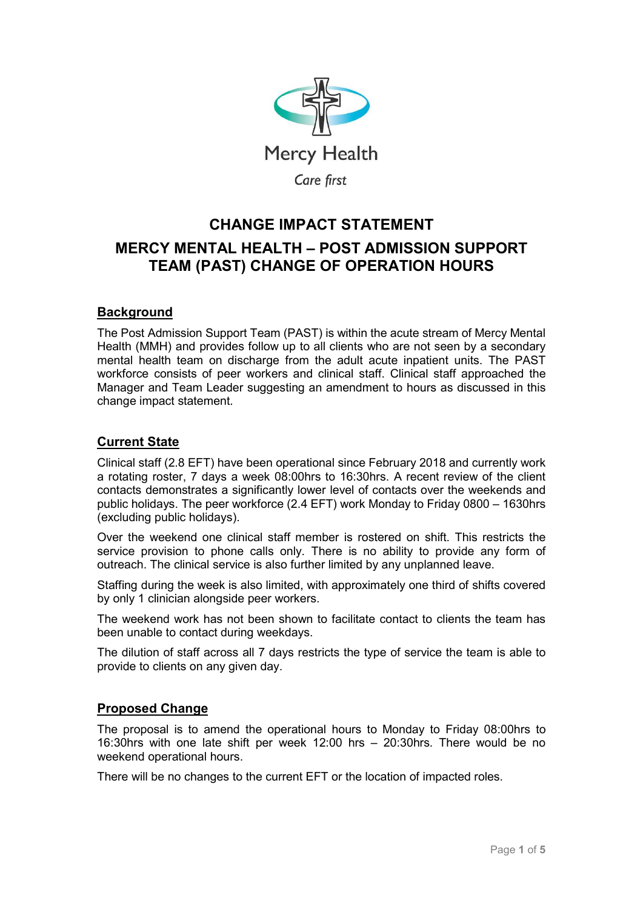

# CHANGE IMPACT STATEMENT MERCY MENTAL HEALTH – POST ADMISSION SUPPORT TEAM (PAST) CHANGE OF OPERATION HOURS

## **Background**

The Post Admission Support Team (PAST) is within the acute stream of Mercy Mental Health (MMH) and provides follow up to all clients who are not seen by a secondary mental health team on discharge from the adult acute inpatient units. The PAST workforce consists of peer workers and clinical staff. Clinical staff approached the Manager and Team Leader suggesting an amendment to hours as discussed in this change impact statement.

## Current State

Clinical staff (2.8 EFT) have been operational since February 2018 and currently work a rotating roster, 7 days a week 08:00hrs to 16:30hrs. A recent review of the client contacts demonstrates a significantly lower level of contacts over the weekends and public holidays. The peer workforce (2.4 EFT) work Monday to Friday 0800 – 1630hrs (excluding public holidays).

Over the weekend one clinical staff member is rostered on shift. This restricts the service provision to phone calls only. There is no ability to provide any form of outreach. The clinical service is also further limited by any unplanned leave.

Staffing during the week is also limited, with approximately one third of shifts covered by only 1 clinician alongside peer workers.

The weekend work has not been shown to facilitate contact to clients the team has been unable to contact during weekdays.

The dilution of staff across all 7 days restricts the type of service the team is able to provide to clients on any given day.

## Proposed Change

The proposal is to amend the operational hours to Monday to Friday 08:00hrs to 16:30hrs with one late shift per week 12:00 hrs – 20:30hrs. There would be no weekend operational hours.

There will be no changes to the current EFT or the location of impacted roles.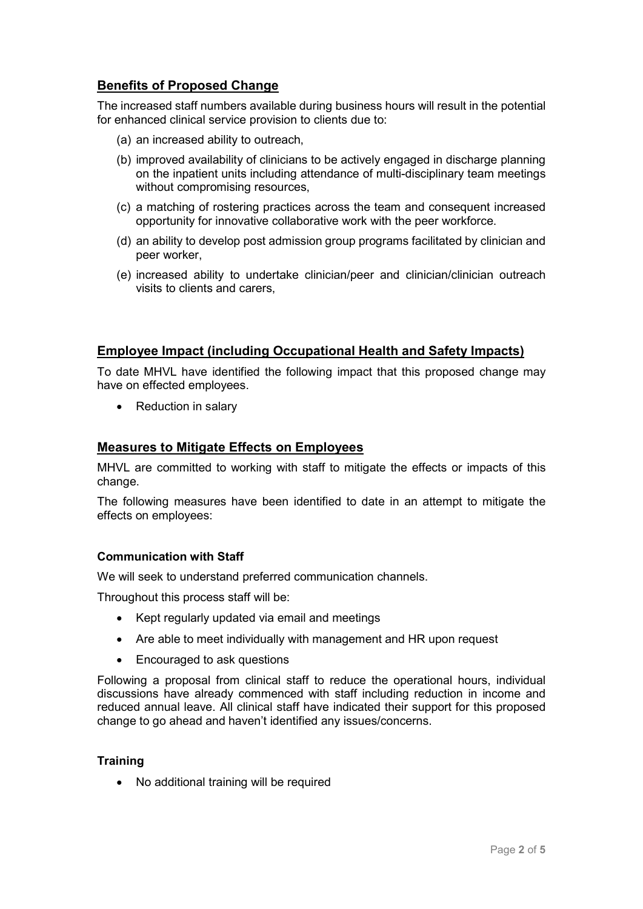# Benefits of Proposed Change

The increased staff numbers available during business hours will result in the potential for enhanced clinical service provision to clients due to:

- (a) an increased ability to outreach,
- (b) improved availability of clinicians to be actively engaged in discharge planning on the inpatient units including attendance of multi-disciplinary team meetings without compromising resources.
- (c) a matching of rostering practices across the team and consequent increased opportunity for innovative collaborative work with the peer workforce.
- (d) an ability to develop post admission group programs facilitated by clinician and peer worker,
- (e) increased ability to undertake clinician/peer and clinician/clinician outreach visits to clients and carers,

#### Employee Impact (including Occupational Health and Safety Impacts)

To date MHVL have identified the following impact that this proposed change may have on effected employees.

• Reduction in salary

#### Measures to Mitigate Effects on Employees

MHVL are committed to working with staff to mitigate the effects or impacts of this change.

The following measures have been identified to date in an attempt to mitigate the effects on employees:

#### Communication with Staff

We will seek to understand preferred communication channels.

Throughout this process staff will be:

- Kept regularly updated via email and meetings
- Are able to meet individually with management and HR upon request
- Encouraged to ask questions

Following a proposal from clinical staff to reduce the operational hours, individual discussions have already commenced with staff including reduction in income and reduced annual leave. All clinical staff have indicated their support for this proposed change to go ahead and haven't identified any issues/concerns.

#### **Training**

No additional training will be required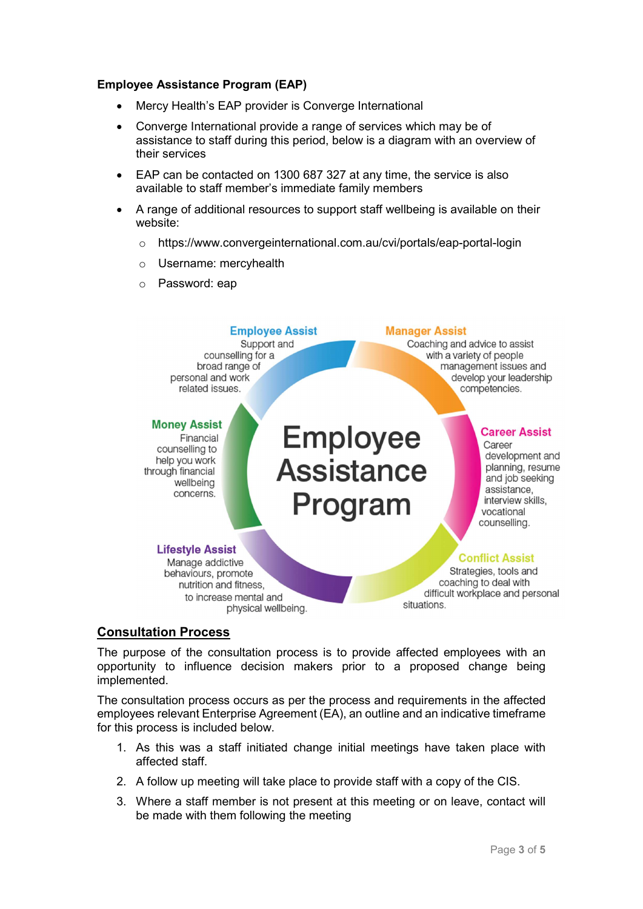#### Employee Assistance Program (EAP)

- Mercy Health's EAP provider is Converge International
- Converge International provide a range of services which may be of assistance to staff during this period, below is a diagram with an overview of their services
- EAP can be contacted on 1300 687 327 at any time, the service is also available to staff member's immediate family members
- A range of additional resources to support staff wellbeing is available on their website:
	- o https://www.convergeinternational.com.au/cvi/portals/eap-portal-login
	- o Username: mercyhealth
	- o Password: eap



#### Consultation Process

The purpose of the consultation process is to provide affected employees with an opportunity to influence decision makers prior to a proposed change being implemented.

The consultation process occurs as per the process and requirements in the affected employees relevant Enterprise Agreement (EA), an outline and an indicative timeframe for this process is included below.

- 1. As this was a staff initiated change initial meetings have taken place with affected staff.
- 2. A follow up meeting will take place to provide staff with a copy of the CIS.
- 3. Where a staff member is not present at this meeting or on leave, contact will be made with them following the meeting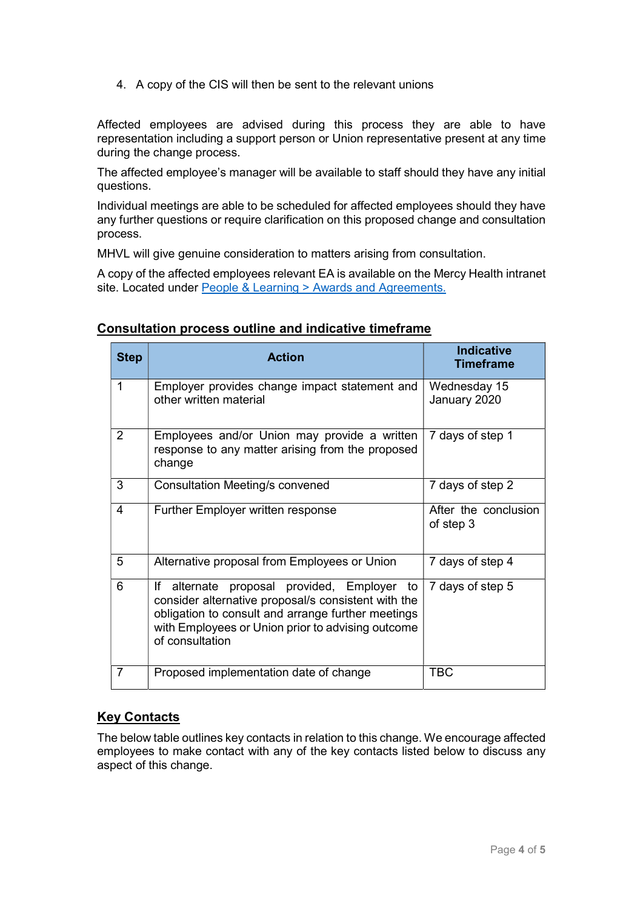4. A copy of the CIS will then be sent to the relevant unions

Affected employees are advised during this process they are able to have representation including a support person or Union representative present at any time during the change process.

The affected employee's manager will be available to staff should they have any initial questions.

Individual meetings are able to be scheduled for affected employees should they have any further questions or require clarification on this proposed change and consultation process.

MHVL will give genuine consideration to matters arising from consultation.

A copy of the affected employees relevant EA is available on the Mercy Health intranet site. Located under People & Learning > Awards and Agreements.

| <b>Step</b>    | <b>Action</b>                                                                                                                                                                                                                        | <b>Indicative</b><br><b>Timeframe</b> |
|----------------|--------------------------------------------------------------------------------------------------------------------------------------------------------------------------------------------------------------------------------------|---------------------------------------|
| 1              | Employer provides change impact statement and<br>other written material                                                                                                                                                              | Wednesday 15<br>January 2020          |
| $\overline{2}$ | Employees and/or Union may provide a written<br>response to any matter arising from the proposed<br>change                                                                                                                           | 7 days of step 1                      |
| 3              | Consultation Meeting/s convened                                                                                                                                                                                                      | 7 days of step 2                      |
| 4              | <b>Further Employer written response</b>                                                                                                                                                                                             | After the conclusion<br>of step 3     |
| 5              | Alternative proposal from Employees or Union                                                                                                                                                                                         | 7 days of step 4                      |
| 6              | alternate proposal provided, Employer to<br>lf.<br>consider alternative proposal/s consistent with the<br>obligation to consult and arrange further meetings<br>with Employees or Union prior to advising outcome<br>of consultation | 7 days of step 5                      |
| 7              | Proposed implementation date of change                                                                                                                                                                                               | <b>TBC</b>                            |

#### Consultation process outline and indicative timeframe

# Key Contacts

The below table outlines key contacts in relation to this change. We encourage affected employees to make contact with any of the key contacts listed below to discuss any aspect of this change.